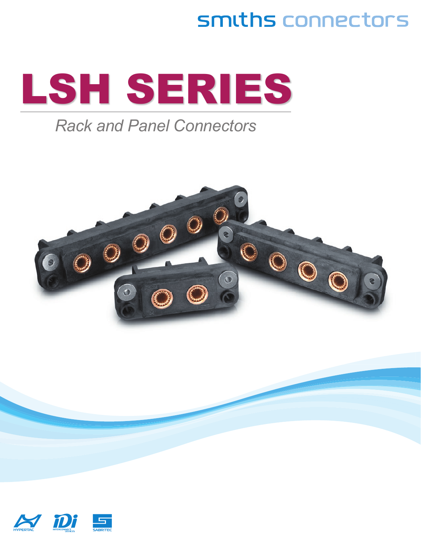# smiths connectors



### *Rack and Panel Connectors*



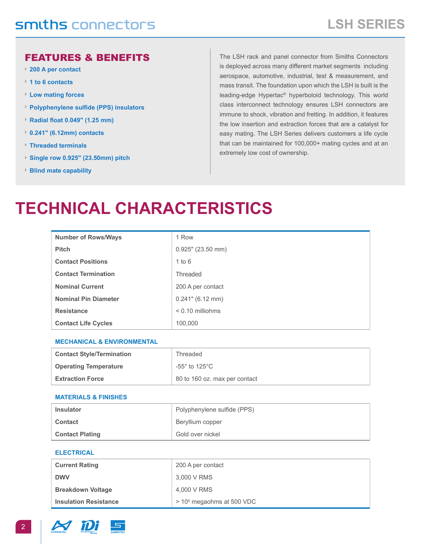#### FEATURES & BENEFITS

- **► 200 A per contact**
- **► 1 to 6 contacts**
- **► Low mating forces**
- **► Polyphenylene sulfide (PPS) insulators**
- **► Radial float 0.049" (1.25 mm)**
- **► 0.241" (6.12mm) contacts**
- **► Threaded terminals**
- **► Single row 0.925" (23.50mm) pitch**
- **► Blind mate capability**

The LSH rack and panel connector from Smiths Connectors is deployed across many different market segments including aerospace, automotive, industrial, test & measurement, and mass transit. The foundation upon which the LSH is built is the leading-edge Hypertac® hyperboloid technology. This world class interconnect technology ensures LSH connectors are immune to shock, vibration and fretting. In addition, it features the low insertion and extraction forces that are a catalyst for easy mating. The LSH Series delivers customers a life cycle that can be maintained for 100,000+ mating cycles and at an extremely low cost of ownership.

## **technical characteristics**

| <b>Number of Rows/Ways</b>  | 1 Row                |
|-----------------------------|----------------------|
| <b>Pitch</b>                | $0.925$ " (23.50 mm) |
| <b>Contact Positions</b>    | 1 to 6               |
| <b>Contact Termination</b>  | Threaded             |
| <b>Nominal Current</b>      | 200 A per contact    |
| <b>Nominal Pin Diameter</b> | $0.241$ " (6.12 mm)  |
| <b>Resistance</b>           | $< 0.10$ milliohms   |
| <b>Contact Life Cycles</b>  | 100,000              |

#### **MECHANICAL & ENVIRONMENTAL**

| <b>Contact Style/Termination</b> | Threaded                             |
|----------------------------------|--------------------------------------|
| <b>Operating Temperature</b>     | -55 $^{\circ}$ to 125 $^{\circ}$ C . |
| <b>Extraction Force</b>          | 80 to 160 oz. max per contact        |

#### **MATERIALS & FINISHES**

| <b>Insulator</b>       | Polyphenylene sulfide (PPS) |
|------------------------|-----------------------------|
| <b>Contact</b>         | Beryllium copper            |
| <b>Contact Plating</b> | Gold over nickel            |

#### **ELECTRICAL**

| <b>Current Rating</b>        | 200 A per contact                     |
|------------------------------|---------------------------------------|
| <b>DWV</b>                   | 3,000 V RMS                           |
| <b>Breakdown Voltage</b>     | 4.000 V RMS                           |
| <b>Insulation Resistance</b> | > 10 <sup>6</sup> megaohms at 500 VDC |

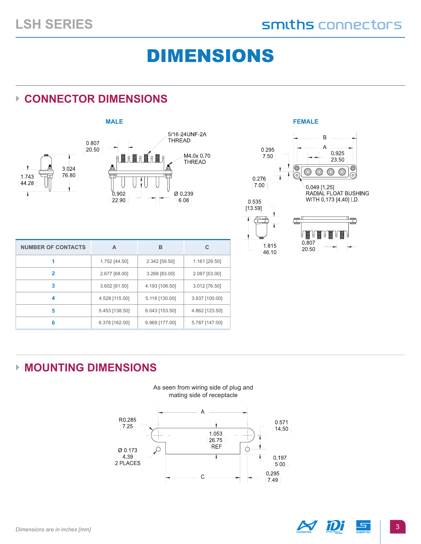# DIMENSIONS

### **► Connector Dimensions**







| <b>NUMBER OF CONTACTS</b> | A              | в              | C              |
|---------------------------|----------------|----------------|----------------|
|                           | 1.752 [44.50]  | 2.342 [59.50]  | 1.161 [29.50]  |
| 2                         | 2.677 [68.00]  | 3.268 [83.00]  | 2.087 [53.00]  |
| 3                         | 3.602 [91.50]  | 4.193 [106.50] | 3.012 [76.50]  |
| 4                         | 4.528 [115.00] | 5.118 [130.00] | 3.937 [100.00] |
| 5                         | 5.453 [138.50] | 6.043 [153.50] | 4.862 [123.50] |
| 6                         | 6.378 [162.00] | 6.969 [177.00] | 5.787 [147.00] |

### **► Mounting Dimensions**



As seen from wiring side of plug and mating side of receptacle